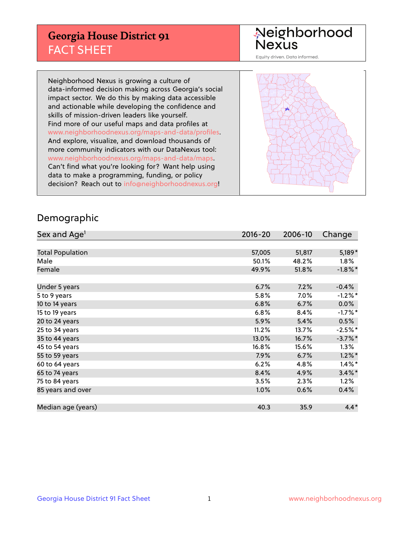## **Georgia House District 91** FACT SHEET

# Neighborhood<br>Nexus

Equity driven. Data informed.

Neighborhood Nexus is growing a culture of data-informed decision making across Georgia's social impact sector. We do this by making data accessible and actionable while developing the confidence and skills of mission-driven leaders like yourself. Find more of our useful maps and data profiles at www.neighborhoodnexus.org/maps-and-data/profiles. And explore, visualize, and download thousands of more community indicators with our DataNexus tool: www.neighborhoodnexus.org/maps-and-data/maps. Can't find what you're looking for? Want help using data to make a programming, funding, or policy decision? Reach out to [info@neighborhoodnexus.org!](mailto:info@neighborhoodnexus.org)



### Demographic

| Sex and Age <sup>1</sup> | $2016 - 20$ | 2006-10 | Change     |
|--------------------------|-------------|---------|------------|
|                          |             |         |            |
| <b>Total Population</b>  | 57,005      | 51,817  | $5,189*$   |
| Male                     | 50.1%       | 48.2%   | $1.8\%$    |
| Female                   | 49.9%       | 51.8%   | $-1.8\%$ * |
|                          |             |         |            |
| Under 5 years            | 6.7%        | 7.2%    | $-0.4%$    |
| 5 to 9 years             | 5.8%        | $7.0\%$ | $-1.2%$ *  |
| 10 to 14 years           | 6.8%        | 6.7%    | 0.0%       |
| 15 to 19 years           | 6.8%        | 8.4%    | $-1.7%$ *  |
| 20 to 24 years           | 5.9%        | 5.4%    | 0.5%       |
| 25 to 34 years           | 11.2%       | 13.7%   | $-2.5%$ *  |
| 35 to 44 years           | 13.0%       | 16.7%   | $-3.7\%$ * |
| 45 to 54 years           | 16.8%       | 15.6%   | 1.3%       |
| 55 to 59 years           | 7.9%        | 6.7%    | $1.2\%$ *  |
| 60 to 64 years           | 6.2%        | 4.8%    | $1.4\%$ *  |
| 65 to 74 years           | 8.4%        | 4.9%    | $3.4\%$ *  |
| 75 to 84 years           | 3.5%        | 2.3%    | 1.2%       |
| 85 years and over        | 1.0%        | 0.6%    | 0.4%       |
|                          |             |         |            |
| Median age (years)       | 40.3        | 35.9    | $4.4*$     |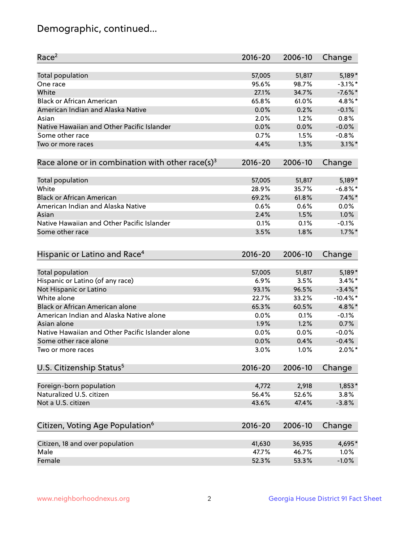## Demographic, continued...

| Race <sup>2</sup>                                            | $2016 - 20$ | 2006-10 | Change      |
|--------------------------------------------------------------|-------------|---------|-------------|
| <b>Total population</b>                                      | 57,005      | 51,817  | 5,189*      |
| One race                                                     | 95.6%       | 98.7%   | $-3.1\%$ *  |
| White                                                        | 27.1%       | 34.7%   | $-7.6%$ *   |
| <b>Black or African American</b>                             | 65.8%       | 61.0%   | 4.8%*       |
| American Indian and Alaska Native                            | 0.0%        | 0.2%    | $-0.1%$     |
| Asian                                                        | 2.0%        | 1.2%    | 0.8%        |
| Native Hawaiian and Other Pacific Islander                   | 0.0%        | 0.0%    | $-0.0%$     |
| Some other race                                              | 0.7%        | 1.5%    | $-0.8%$     |
| Two or more races                                            | 4.4%        | 1.3%    | $3.1\%$ *   |
|                                                              |             |         |             |
| Race alone or in combination with other race(s) <sup>3</sup> | $2016 - 20$ | 2006-10 | Change      |
| Total population                                             | 57,005      | 51,817  | 5,189*      |
| White                                                        | 28.9%       | 35.7%   | $-6.8\%$ *  |
| <b>Black or African American</b>                             | 69.2%       | 61.8%   | $7.4\%$ *   |
| American Indian and Alaska Native                            | 0.6%        | 0.6%    | 0.0%        |
| Asian                                                        | 2.4%        | 1.5%    | 1.0%        |
| Native Hawaiian and Other Pacific Islander                   | 0.1%        | 0.1%    | $-0.1%$     |
| Some other race                                              | 3.5%        | 1.8%    | $1.7\%$ *   |
|                                                              |             |         |             |
| Hispanic or Latino and Race <sup>4</sup>                     | $2016 - 20$ | 2006-10 | Change      |
| Total population                                             | 57,005      | 51,817  | $5,189*$    |
| Hispanic or Latino (of any race)                             | 6.9%        | 3.5%    | $3.4\%$ *   |
| Not Hispanic or Latino                                       | 93.1%       | 96.5%   | $-3.4\%$ *  |
| White alone                                                  | 22.7%       | 33.2%   | $-10.4\%$ * |
| <b>Black or African American alone</b>                       | 65.3%       | 60.5%   | 4.8%*       |
| American Indian and Alaska Native alone                      | 0.0%        | 0.1%    | $-0.1%$     |
| Asian alone                                                  | 1.9%        | 1.2%    | 0.7%        |
| Native Hawaiian and Other Pacific Islander alone             | 0.0%        | 0.0%    | $-0.0%$     |
| Some other race alone                                        | 0.0%        | 0.4%    | $-0.4%$     |
| Two or more races                                            | 3.0%        | 1.0%    | $2.0\%$ *   |
|                                                              |             |         |             |
| U.S. Citizenship Status <sup>5</sup>                         | $2016 - 20$ | 2006-10 | Change      |
| Foreign-born population                                      | 4,772       | 2,918   | $1,853*$    |
| Naturalized U.S. citizen                                     | 56.4%       | 52.6%   | 3.8%        |
| Not a U.S. citizen                                           | 43.6%       | 47.4%   | $-3.8%$     |
|                                                              |             |         |             |
| Citizen, Voting Age Population <sup>6</sup>                  | $2016 - 20$ | 2006-10 | Change      |
| Citizen, 18 and over population                              | 41,630      | 36,935  | 4,695*      |
| Male                                                         | 47.7%       | 46.7%   | 1.0%        |
| Female                                                       | 52.3%       | 53.3%   | $-1.0%$     |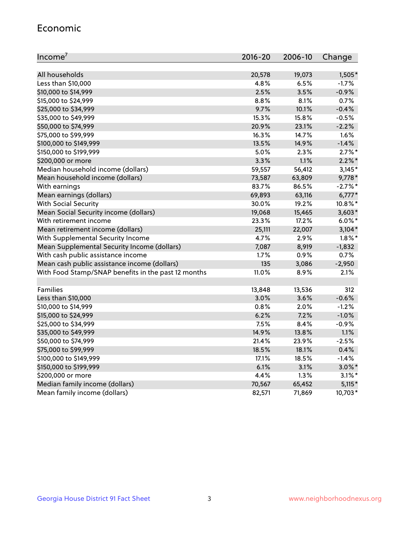#### Economic

| Income <sup>7</sup>                                 | $2016 - 20$ | 2006-10 | Change    |
|-----------------------------------------------------|-------------|---------|-----------|
|                                                     |             |         |           |
| All households                                      | 20,578      | 19,073  | 1,505*    |
| Less than \$10,000                                  | 4.8%        | 6.5%    | $-1.7%$   |
| \$10,000 to \$14,999                                | 2.5%        | 3.5%    | $-0.9%$   |
| \$15,000 to \$24,999                                | 8.8%        | 8.1%    | 0.7%      |
| \$25,000 to \$34,999                                | 9.7%        | 10.1%   | $-0.4%$   |
| \$35,000 to \$49,999                                | 15.3%       | 15.8%   | $-0.5%$   |
| \$50,000 to \$74,999                                | 20.9%       | 23.1%   | $-2.2%$   |
| \$75,000 to \$99,999                                | 16.3%       | 14.7%   | 1.6%      |
| \$100,000 to \$149,999                              | 13.5%       | 14.9%   | $-1.4%$   |
| \$150,000 to \$199,999                              | 5.0%        | 2.3%    | $2.7\%$ * |
| \$200,000 or more                                   | 3.3%        | 1.1%    | $2.2\%$ * |
| Median household income (dollars)                   | 59,557      | 56,412  | $3,145*$  |
| Mean household income (dollars)                     | 73,587      | 63,809  | $9,778*$  |
| With earnings                                       | 83.7%       | 86.5%   | $-2.7%$ * |
| Mean earnings (dollars)                             | 69,893      | 63,116  | $6,777*$  |
| <b>With Social Security</b>                         | 30.0%       | 19.2%   | 10.8%*    |
| Mean Social Security income (dollars)               | 19,068      | 15,465  | $3,603*$  |
| With retirement income                              | 23.3%       | 17.2%   | $6.0\%$ * |
| Mean retirement income (dollars)                    | 25,111      | 22,007  | $3,104*$  |
| With Supplemental Security Income                   | 4.7%        | 2.9%    | $1.8\%$ * |
| Mean Supplemental Security Income (dollars)         | 7,087       | 8,919   | $-1,832$  |
| With cash public assistance income                  | 1.7%        | 0.9%    | 0.7%      |
| Mean cash public assistance income (dollars)        | 135         | 3,086   | $-2,950$  |
| With Food Stamp/SNAP benefits in the past 12 months | 11.0%       | 8.9%    | 2.1%      |
|                                                     |             |         |           |
| Families                                            | 13,848      | 13,536  | 312       |
| Less than \$10,000                                  | $3.0\%$     | 3.6%    | $-0.6%$   |
| \$10,000 to \$14,999                                | 0.8%        | 2.0%    | $-1.2%$   |
| \$15,000 to \$24,999                                | 6.2%        | 7.2%    | $-1.0%$   |
| \$25,000 to \$34,999                                | 7.5%        | 8.4%    | $-0.9%$   |
| \$35,000 to \$49,999                                | 14.9%       | 13.8%   | 1.1%      |
| \$50,000 to \$74,999                                | 21.4%       | 23.9%   | $-2.5%$   |
| \$75,000 to \$99,999                                | 18.5%       | 18.1%   | 0.4%      |
| \$100,000 to \$149,999                              | 17.1%       | 18.5%   | $-1.4%$   |
| \$150,000 to \$199,999                              | 6.1%        | 3.1%    | $3.0\%$ * |
| \$200,000 or more                                   | 4.4%        | 1.3%    | $3.1\%$ * |
| Median family income (dollars)                      | 70,567      | 65,452  | $5,115*$  |
| Mean family income (dollars)                        | 82,571      | 71,869  | 10,703*   |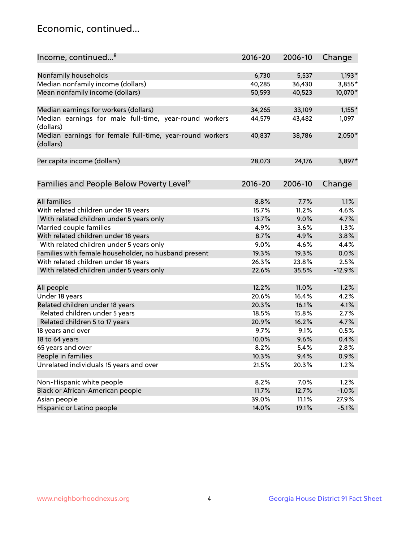## Economic, continued...

| Income, continued <sup>8</sup>                                        | $2016 - 20$ | 2006-10 | Change   |
|-----------------------------------------------------------------------|-------------|---------|----------|
|                                                                       |             |         |          |
| Nonfamily households                                                  | 6,730       | 5,537   | $1,193*$ |
| Median nonfamily income (dollars)                                     | 40,285      | 36,430  | 3,855*   |
| Mean nonfamily income (dollars)                                       | 50,593      | 40,523  | 10,070*  |
| Median earnings for workers (dollars)                                 | 34,265      | 33,109  | $1,155*$ |
| Median earnings for male full-time, year-round workers                | 44,579      | 43,482  | 1,097    |
| (dollars)                                                             |             |         |          |
| Median earnings for female full-time, year-round workers<br>(dollars) | 40,837      | 38,786  | 2,050*   |
| Per capita income (dollars)                                           | 28,073      | 24,176  | 3,897*   |
|                                                                       |             |         |          |
| Families and People Below Poverty Level <sup>9</sup>                  | $2016 - 20$ | 2006-10 | Change   |
|                                                                       |             |         |          |
| <b>All families</b>                                                   | 8.8%        | 7.7%    | 1.1%     |
| With related children under 18 years                                  | 15.7%       | 11.2%   | 4.6%     |
| With related children under 5 years only                              | 13.7%       | 9.0%    | 4.7%     |
| Married couple families                                               | 4.9%        | 3.6%    | 1.3%     |
| With related children under 18 years                                  | 8.7%        | 4.9%    | 3.8%     |
| With related children under 5 years only                              | 9.0%        | 4.6%    | 4.4%     |
| Families with female householder, no husband present                  | 19.3%       | 19.3%   | 0.0%     |
| With related children under 18 years                                  | 26.3%       | 23.8%   | 2.5%     |
| With related children under 5 years only                              | 22.6%       | 35.5%   | $-12.9%$ |
| All people                                                            | 12.2%       | 11.0%   | 1.2%     |
| Under 18 years                                                        | 20.6%       | 16.4%   | 4.2%     |
| Related children under 18 years                                       | 20.3%       | 16.1%   | 4.1%     |
| Related children under 5 years                                        | 18.5%       | 15.8%   | 2.7%     |
| Related children 5 to 17 years                                        | 20.9%       | 16.2%   | 4.7%     |
| 18 years and over                                                     | 9.7%        | 9.1%    | 0.5%     |
| 18 to 64 years                                                        | 10.0%       | 9.6%    | 0.4%     |
| 65 years and over                                                     | 8.2%        | 5.4%    | 2.8%     |
| People in families                                                    | 10.3%       | 9.4%    | 0.9%     |
| Unrelated individuals 15 years and over                               | 21.5%       | 20.3%   | 1.2%     |
|                                                                       |             |         |          |
| Non-Hispanic white people                                             | 8.2%        | 7.0%    | 1.2%     |
| Black or African-American people                                      | 11.7%       | 12.7%   | $-1.0%$  |
| Asian people                                                          | 39.0%       | 11.1%   | 27.9%    |
| Hispanic or Latino people                                             | 14.0%       | 19.1%   | $-5.1%$  |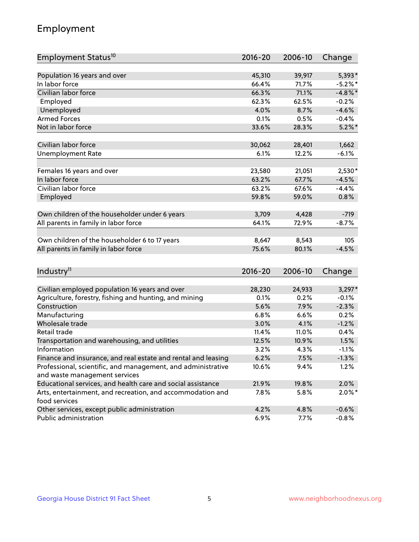## Employment

| Employment Status <sup>10</sup>                                             | $2016 - 20$ | 2006-10 | Change     |
|-----------------------------------------------------------------------------|-------------|---------|------------|
|                                                                             |             |         |            |
| Population 16 years and over                                                | 45,310      | 39,917  | 5,393*     |
| In labor force                                                              | 66.4%       | 71.7%   | $-5.2%$ *  |
| Civilian labor force                                                        | 66.3%       | 71.1%   | $-4.8\%$ * |
| Employed                                                                    | 62.3%       | 62.5%   | $-0.2%$    |
| Unemployed                                                                  | 4.0%        | 8.7%    | $-4.6%$    |
| <b>Armed Forces</b>                                                         | 0.1%        | 0.5%    | $-0.4%$    |
| Not in labor force                                                          | 33.6%       | 28.3%   | $5.2\%$ *  |
| Civilian labor force                                                        | 30,062      |         | 1,662      |
|                                                                             |             | 28,401  |            |
| <b>Unemployment Rate</b>                                                    | 6.1%        | 12.2%   | $-6.1%$    |
| Females 16 years and over                                                   | 23,580      | 21,051  | $2,530*$   |
| In labor force                                                              | 63.2%       | 67.7%   | $-4.5%$    |
| Civilian labor force                                                        | 63.2%       | 67.6%   | $-4.4%$    |
| Employed                                                                    | 59.8%       | 59.0%   | 0.8%       |
|                                                                             |             |         |            |
| Own children of the householder under 6 years                               | 3,709       | 4,428   | $-719$     |
| All parents in family in labor force                                        | 64.1%       | 72.9%   | $-8.7%$    |
| Own children of the householder 6 to 17 years                               | 8,647       | 8,543   | 105        |
| All parents in family in labor force                                        | 75.6%       | 80.1%   | $-4.5%$    |
|                                                                             |             |         |            |
| Industry <sup>11</sup>                                                      | $2016 - 20$ | 2006-10 | Change     |
|                                                                             |             |         |            |
| Civilian employed population 16 years and over                              | 28,230      | 24,933  | $3,297*$   |
| Agriculture, forestry, fishing and hunting, and mining                      | 0.1%        | 0.2%    | $-0.1%$    |
| Construction                                                                | 5.6%        | 7.9%    | $-2.3%$    |
| Manufacturing                                                               | 6.8%        | 6.6%    | 0.2%       |
| Wholesale trade                                                             | 3.0%        | 4.1%    | $-1.2%$    |
| Retail trade                                                                | 11.4%       | 11.0%   | 0.4%       |
| Transportation and warehousing, and utilities                               | 12.5%       | 10.9%   | 1.5%       |
| Information                                                                 | 3.2%        | 4.3%    | $-1.1%$    |
| Finance and insurance, and real estate and rental and leasing               | 6.2%        | 7.5%    | $-1.3%$    |
| Professional, scientific, and management, and administrative                | 10.6%       | 9.4%    | 1.2%       |
| and waste management services                                               |             |         |            |
| Educational services, and health care and social assistance                 | 21.9%       | 19.8%   | 2.0%       |
| Arts, entertainment, and recreation, and accommodation and<br>food services | 7.8%        | 5.8%    | $2.0\%$ *  |
| Other services, except public administration                                | 4.2%        | 4.8%    | $-0.6%$    |
| Public administration                                                       | 6.9%        | 7.7%    | $-0.8%$    |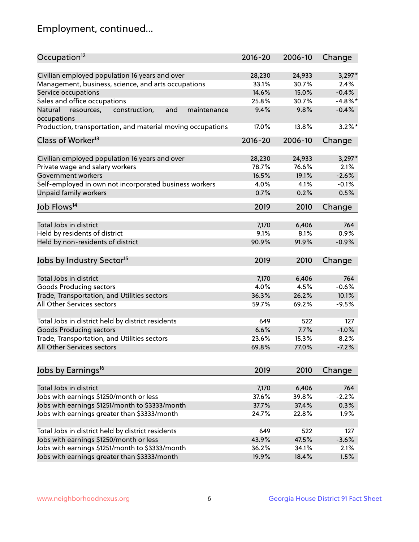## Employment, continued...

| Occupation <sup>12</sup>                                     | $2016 - 20$ | 2006-10 | Change     |
|--------------------------------------------------------------|-------------|---------|------------|
| Civilian employed population 16 years and over               | 28,230      | 24,933  | $3,297*$   |
| Management, business, science, and arts occupations          | 33.1%       | 30.7%   | 2.4%       |
| Service occupations                                          | 14.6%       | 15.0%   | $-0.4%$    |
| Sales and office occupations                                 | 25.8%       | 30.7%   | $-4.8\%$ * |
| Natural<br>and<br>resources,<br>construction,<br>maintenance | 9.4%        | 9.8%    | $-0.4%$    |
| occupations                                                  |             |         |            |
| Production, transportation, and material moving occupations  | 17.0%       | 13.8%   | $3.2\%$ *  |
| Class of Worker <sup>13</sup>                                | $2016 - 20$ | 2006-10 | Change     |
| Civilian employed population 16 years and over               | 28,230      | 24,933  | $3,297*$   |
| Private wage and salary workers                              | 78.7%       | 76.6%   | 2.1%       |
| Government workers                                           | 16.5%       | 19.1%   | $-2.6%$    |
| Self-employed in own not incorporated business workers       | 4.0%        | 4.1%    | $-0.1%$    |
| Unpaid family workers                                        | 0.7%        | 0.2%    | 0.5%       |
|                                                              |             |         |            |
| Job Flows <sup>14</sup>                                      | 2019        | 2010    | Change     |
| Total Jobs in district                                       | 7,170       | 6,406   | 764        |
| Held by residents of district                                | 9.1%        | 8.1%    | 0.9%       |
| Held by non-residents of district                            | 90.9%       | 91.9%   | $-0.9%$    |
|                                                              |             |         |            |
| Jobs by Industry Sector <sup>15</sup>                        | 2019        | 2010    | Change     |
| Total Jobs in district                                       | 7,170       | 6,406   | 764        |
| Goods Producing sectors                                      | 4.0%        | 4.5%    | $-0.6%$    |
| Trade, Transportation, and Utilities sectors                 | 36.3%       | 26.2%   | 10.1%      |
| All Other Services sectors                                   | 59.7%       | 69.2%   | $-9.5%$    |
|                                                              |             |         |            |
| Total Jobs in district held by district residents            | 649         | 522     | 127        |
| <b>Goods Producing sectors</b>                               | 6.6%        | 7.7%    | $-1.0%$    |
| Trade, Transportation, and Utilities sectors                 | 23.6%       | 15.3%   | 8.2%       |
| All Other Services sectors                                   | 69.8%       | 77.0%   | $-7.2%$    |
|                                                              |             |         |            |
| Jobs by Earnings <sup>16</sup>                               | 2019        | 2010    | Change     |
| Total Jobs in district                                       | 7,170       | 6,406   | 764        |
| Jobs with earnings \$1250/month or less                      | 37.6%       | 39.8%   | $-2.2%$    |
| Jobs with earnings \$1251/month to \$3333/month              | 37.7%       | 37.4%   | 0.3%       |
| Jobs with earnings greater than \$3333/month                 | 24.7%       | 22.8%   | 1.9%       |
|                                                              |             |         |            |
| Total Jobs in district held by district residents            | 649         | 522     | 127        |
| Jobs with earnings \$1250/month or less                      | 43.9%       | 47.5%   | $-3.6%$    |
| Jobs with earnings \$1251/month to \$3333/month              | 36.2%       | 34.1%   | 2.1%       |
| Jobs with earnings greater than \$3333/month                 | 19.9%       | 18.4%   | 1.5%       |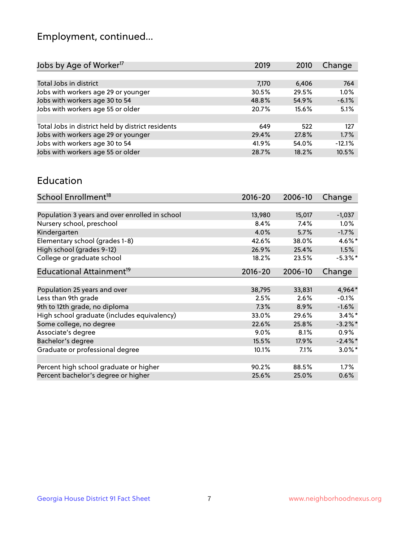## Employment, continued...

| Jobs by Age of Worker <sup>17</sup>               | 2019  | 2010  | Change   |
|---------------------------------------------------|-------|-------|----------|
|                                                   |       |       |          |
| Total Jobs in district                            | 7,170 | 6,406 | 764      |
| Jobs with workers age 29 or younger               | 30.5% | 29.5% | 1.0%     |
| Jobs with workers age 30 to 54                    | 48.8% | 54.9% | $-6.1%$  |
| Jobs with workers age 55 or older                 | 20.7% | 15.6% | 5.1%     |
|                                                   |       |       |          |
| Total Jobs in district held by district residents | 649   | 522   | 127      |
| Jobs with workers age 29 or younger               | 29.4% | 27.8% | 1.7%     |
| Jobs with workers age 30 to 54                    | 41.9% | 54.0% | $-12.1%$ |
| Jobs with workers age 55 or older                 | 28.7% | 18.2% | 10.5%    |

#### Education

| School Enrollment <sup>18</sup>                | $2016 - 20$ | 2006-10 | Change               |
|------------------------------------------------|-------------|---------|----------------------|
|                                                |             |         |                      |
| Population 3 years and over enrolled in school | 13,980      | 15,017  | $-1,037$             |
| Nursery school, preschool                      | 8.4%        | 7.4%    | $1.0\%$              |
| Kindergarten                                   | 4.0%        | 5.7%    | $-1.7%$              |
| Elementary school (grades 1-8)                 | 42.6%       | 38.0%   | 4.6%*                |
| High school (grades 9-12)                      | 26.9%       | 25.4%   | 1.5%                 |
| College or graduate school                     | 18.2%       | 23.5%   | $-5.3\%$ *           |
| Educational Attainment <sup>19</sup>           | $2016 - 20$ | 2006-10 | Change               |
|                                                |             |         |                      |
| Population 25 years and over                   | 38,795      | 33,831  | 4,964*               |
| Less than 9th grade                            | 2.5%        | 2.6%    | $-0.1%$              |
| 9th to 12th grade, no diploma                  | 7.3%        | 8.9%    | $-1.6%$              |
| High school graduate (includes equivalency)    | 33.0%       | 29.6%   | $3.4\%$ <sup>*</sup> |
| Some college, no degree                        | 22.6%       | 25.8%   | $-3.2\%$ *           |
| Associate's degree                             | 9.0%        | 8.1%    | $0.9\%$              |
| Bachelor's degree                              | 15.5%       | 17.9%   | $-2.4\%$ *           |
| Graduate or professional degree                | 10.1%       | $7.1\%$ | $3.0\%$ *            |
|                                                |             |         |                      |
| Percent high school graduate or higher         | 90.2%       | 88.5%   | 1.7%                 |
| Percent bachelor's degree or higher            | 25.6%       | 25.0%   | 0.6%                 |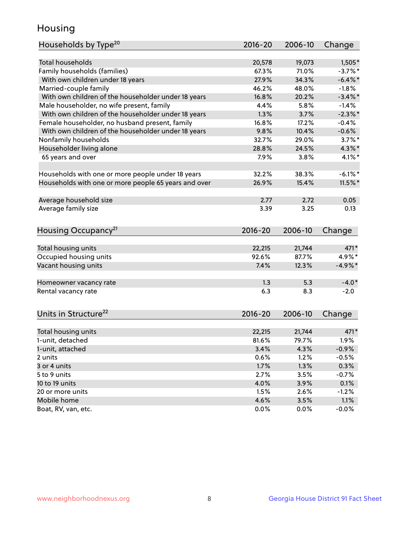## Housing

| Total households<br>19,073<br>$1,505*$<br>20,578<br>Family households (families)<br>67.3%<br>71.0%<br>$-3.7%$ *<br>With own children under 18 years<br>27.9%<br>34.3%<br>$-6.4\%$ *<br>Married-couple family<br>46.2%<br>48.0%<br>$-1.8%$<br>With own children of the householder under 18 years<br>16.8%<br>20.2%<br>$-3.4\%$ *<br>Male householder, no wife present, family<br>4.4%<br>5.8%<br>$-1.4%$<br>With own children of the householder under 18 years<br>$-2.3\%$ *<br>1.3%<br>3.7%<br>Female householder, no husband present, family<br>16.8%<br>17.2%<br>$-0.4%$<br>With own children of the householder under 18 years<br>9.8%<br>$-0.6%$<br>10.4%<br>Nonfamily households<br>32.7%<br>29.0%<br>$3.7\%$ *<br>Householder living alone<br>28.8%<br>24.5%<br>$4.3\%$ *<br>65 years and over<br>7.9%<br>3.8%<br>$4.1\%$ *<br>32.2%<br>$-6.1\%$ *<br>Households with one or more people under 18 years<br>38.3%<br>Households with one or more people 65 years and over<br>15.4%<br>26.9%<br>$11.5\%$ *<br>2.72<br>Average household size<br>2.77<br>0.05<br>Average family size<br>3.39<br>3.25<br>0.13<br>Housing Occupancy <sup>21</sup><br>2016-20<br>2006-10<br>Change<br>Total housing units<br>22,215<br>21,744<br>471*<br>4.9%*<br>Occupied housing units<br>92.6%<br>87.7%<br>Vacant housing units<br>$-4.9\%*$<br>7.4%<br>12.3%<br>$-4.0*$<br>1.3<br>5.3<br>Homeowner vacancy rate<br>6.3<br>8.3<br>$-2.0$<br>Units in Structure <sup>22</sup><br>2016-20<br>2006-10<br>Change<br>Total housing units<br>22,215<br>21,744<br>$471*$<br>1-unit, detached<br>1.9%<br>81.6%<br>79.7%<br>3.4%<br>4.3%<br>$-0.9%$<br>1-unit, attached<br>0.6%<br>1.2%<br>$-0.5%$<br>2 units<br>1.7%<br>1.3%<br>0.3%<br>3 or 4 units | Households by Type <sup>20</sup> | 2016-20 | 2006-10 | Change  |
|-----------------------------------------------------------------------------------------------------------------------------------------------------------------------------------------------------------------------------------------------------------------------------------------------------------------------------------------------------------------------------------------------------------------------------------------------------------------------------------------------------------------------------------------------------------------------------------------------------------------------------------------------------------------------------------------------------------------------------------------------------------------------------------------------------------------------------------------------------------------------------------------------------------------------------------------------------------------------------------------------------------------------------------------------------------------------------------------------------------------------------------------------------------------------------------------------------------------------------------------------------------------------------------------------------------------------------------------------------------------------------------------------------------------------------------------------------------------------------------------------------------------------------------------------------------------------------------------------------------------------------------------------------------------------------------------------------------------------------------|----------------------------------|---------|---------|---------|
|                                                                                                                                                                                                                                                                                                                                                                                                                                                                                                                                                                                                                                                                                                                                                                                                                                                                                                                                                                                                                                                                                                                                                                                                                                                                                                                                                                                                                                                                                                                                                                                                                                                                                                                                   |                                  |         |         |         |
|                                                                                                                                                                                                                                                                                                                                                                                                                                                                                                                                                                                                                                                                                                                                                                                                                                                                                                                                                                                                                                                                                                                                                                                                                                                                                                                                                                                                                                                                                                                                                                                                                                                                                                                                   |                                  |         |         |         |
|                                                                                                                                                                                                                                                                                                                                                                                                                                                                                                                                                                                                                                                                                                                                                                                                                                                                                                                                                                                                                                                                                                                                                                                                                                                                                                                                                                                                                                                                                                                                                                                                                                                                                                                                   |                                  |         |         |         |
|                                                                                                                                                                                                                                                                                                                                                                                                                                                                                                                                                                                                                                                                                                                                                                                                                                                                                                                                                                                                                                                                                                                                                                                                                                                                                                                                                                                                                                                                                                                                                                                                                                                                                                                                   |                                  |         |         |         |
|                                                                                                                                                                                                                                                                                                                                                                                                                                                                                                                                                                                                                                                                                                                                                                                                                                                                                                                                                                                                                                                                                                                                                                                                                                                                                                                                                                                                                                                                                                                                                                                                                                                                                                                                   |                                  |         |         |         |
|                                                                                                                                                                                                                                                                                                                                                                                                                                                                                                                                                                                                                                                                                                                                                                                                                                                                                                                                                                                                                                                                                                                                                                                                                                                                                                                                                                                                                                                                                                                                                                                                                                                                                                                                   |                                  |         |         |         |
|                                                                                                                                                                                                                                                                                                                                                                                                                                                                                                                                                                                                                                                                                                                                                                                                                                                                                                                                                                                                                                                                                                                                                                                                                                                                                                                                                                                                                                                                                                                                                                                                                                                                                                                                   |                                  |         |         |         |
|                                                                                                                                                                                                                                                                                                                                                                                                                                                                                                                                                                                                                                                                                                                                                                                                                                                                                                                                                                                                                                                                                                                                                                                                                                                                                                                                                                                                                                                                                                                                                                                                                                                                                                                                   |                                  |         |         |         |
|                                                                                                                                                                                                                                                                                                                                                                                                                                                                                                                                                                                                                                                                                                                                                                                                                                                                                                                                                                                                                                                                                                                                                                                                                                                                                                                                                                                                                                                                                                                                                                                                                                                                                                                                   |                                  |         |         |         |
|                                                                                                                                                                                                                                                                                                                                                                                                                                                                                                                                                                                                                                                                                                                                                                                                                                                                                                                                                                                                                                                                                                                                                                                                                                                                                                                                                                                                                                                                                                                                                                                                                                                                                                                                   |                                  |         |         |         |
|                                                                                                                                                                                                                                                                                                                                                                                                                                                                                                                                                                                                                                                                                                                                                                                                                                                                                                                                                                                                                                                                                                                                                                                                                                                                                                                                                                                                                                                                                                                                                                                                                                                                                                                                   |                                  |         |         |         |
|                                                                                                                                                                                                                                                                                                                                                                                                                                                                                                                                                                                                                                                                                                                                                                                                                                                                                                                                                                                                                                                                                                                                                                                                                                                                                                                                                                                                                                                                                                                                                                                                                                                                                                                                   |                                  |         |         |         |
|                                                                                                                                                                                                                                                                                                                                                                                                                                                                                                                                                                                                                                                                                                                                                                                                                                                                                                                                                                                                                                                                                                                                                                                                                                                                                                                                                                                                                                                                                                                                                                                                                                                                                                                                   |                                  |         |         |         |
|                                                                                                                                                                                                                                                                                                                                                                                                                                                                                                                                                                                                                                                                                                                                                                                                                                                                                                                                                                                                                                                                                                                                                                                                                                                                                                                                                                                                                                                                                                                                                                                                                                                                                                                                   |                                  |         |         |         |
|                                                                                                                                                                                                                                                                                                                                                                                                                                                                                                                                                                                                                                                                                                                                                                                                                                                                                                                                                                                                                                                                                                                                                                                                                                                                                                                                                                                                                                                                                                                                                                                                                                                                                                                                   |                                  |         |         |         |
|                                                                                                                                                                                                                                                                                                                                                                                                                                                                                                                                                                                                                                                                                                                                                                                                                                                                                                                                                                                                                                                                                                                                                                                                                                                                                                                                                                                                                                                                                                                                                                                                                                                                                                                                   |                                  |         |         |         |
|                                                                                                                                                                                                                                                                                                                                                                                                                                                                                                                                                                                                                                                                                                                                                                                                                                                                                                                                                                                                                                                                                                                                                                                                                                                                                                                                                                                                                                                                                                                                                                                                                                                                                                                                   |                                  |         |         |         |
|                                                                                                                                                                                                                                                                                                                                                                                                                                                                                                                                                                                                                                                                                                                                                                                                                                                                                                                                                                                                                                                                                                                                                                                                                                                                                                                                                                                                                                                                                                                                                                                                                                                                                                                                   |                                  |         |         |         |
|                                                                                                                                                                                                                                                                                                                                                                                                                                                                                                                                                                                                                                                                                                                                                                                                                                                                                                                                                                                                                                                                                                                                                                                                                                                                                                                                                                                                                                                                                                                                                                                                                                                                                                                                   |                                  |         |         |         |
|                                                                                                                                                                                                                                                                                                                                                                                                                                                                                                                                                                                                                                                                                                                                                                                                                                                                                                                                                                                                                                                                                                                                                                                                                                                                                                                                                                                                                                                                                                                                                                                                                                                                                                                                   |                                  |         |         |         |
|                                                                                                                                                                                                                                                                                                                                                                                                                                                                                                                                                                                                                                                                                                                                                                                                                                                                                                                                                                                                                                                                                                                                                                                                                                                                                                                                                                                                                                                                                                                                                                                                                                                                                                                                   |                                  |         |         |         |
|                                                                                                                                                                                                                                                                                                                                                                                                                                                                                                                                                                                                                                                                                                                                                                                                                                                                                                                                                                                                                                                                                                                                                                                                                                                                                                                                                                                                                                                                                                                                                                                                                                                                                                                                   |                                  |         |         |         |
|                                                                                                                                                                                                                                                                                                                                                                                                                                                                                                                                                                                                                                                                                                                                                                                                                                                                                                                                                                                                                                                                                                                                                                                                                                                                                                                                                                                                                                                                                                                                                                                                                                                                                                                                   |                                  |         |         |         |
|                                                                                                                                                                                                                                                                                                                                                                                                                                                                                                                                                                                                                                                                                                                                                                                                                                                                                                                                                                                                                                                                                                                                                                                                                                                                                                                                                                                                                                                                                                                                                                                                                                                                                                                                   |                                  |         |         |         |
|                                                                                                                                                                                                                                                                                                                                                                                                                                                                                                                                                                                                                                                                                                                                                                                                                                                                                                                                                                                                                                                                                                                                                                                                                                                                                                                                                                                                                                                                                                                                                                                                                                                                                                                                   |                                  |         |         |         |
|                                                                                                                                                                                                                                                                                                                                                                                                                                                                                                                                                                                                                                                                                                                                                                                                                                                                                                                                                                                                                                                                                                                                                                                                                                                                                                                                                                                                                                                                                                                                                                                                                                                                                                                                   |                                  |         |         |         |
|                                                                                                                                                                                                                                                                                                                                                                                                                                                                                                                                                                                                                                                                                                                                                                                                                                                                                                                                                                                                                                                                                                                                                                                                                                                                                                                                                                                                                                                                                                                                                                                                                                                                                                                                   |                                  |         |         |         |
|                                                                                                                                                                                                                                                                                                                                                                                                                                                                                                                                                                                                                                                                                                                                                                                                                                                                                                                                                                                                                                                                                                                                                                                                                                                                                                                                                                                                                                                                                                                                                                                                                                                                                                                                   | Rental vacancy rate              |         |         |         |
|                                                                                                                                                                                                                                                                                                                                                                                                                                                                                                                                                                                                                                                                                                                                                                                                                                                                                                                                                                                                                                                                                                                                                                                                                                                                                                                                                                                                                                                                                                                                                                                                                                                                                                                                   |                                  |         |         |         |
|                                                                                                                                                                                                                                                                                                                                                                                                                                                                                                                                                                                                                                                                                                                                                                                                                                                                                                                                                                                                                                                                                                                                                                                                                                                                                                                                                                                                                                                                                                                                                                                                                                                                                                                                   |                                  |         |         |         |
|                                                                                                                                                                                                                                                                                                                                                                                                                                                                                                                                                                                                                                                                                                                                                                                                                                                                                                                                                                                                                                                                                                                                                                                                                                                                                                                                                                                                                                                                                                                                                                                                                                                                                                                                   |                                  |         |         |         |
|                                                                                                                                                                                                                                                                                                                                                                                                                                                                                                                                                                                                                                                                                                                                                                                                                                                                                                                                                                                                                                                                                                                                                                                                                                                                                                                                                                                                                                                                                                                                                                                                                                                                                                                                   |                                  |         |         |         |
|                                                                                                                                                                                                                                                                                                                                                                                                                                                                                                                                                                                                                                                                                                                                                                                                                                                                                                                                                                                                                                                                                                                                                                                                                                                                                                                                                                                                                                                                                                                                                                                                                                                                                                                                   |                                  |         |         |         |
|                                                                                                                                                                                                                                                                                                                                                                                                                                                                                                                                                                                                                                                                                                                                                                                                                                                                                                                                                                                                                                                                                                                                                                                                                                                                                                                                                                                                                                                                                                                                                                                                                                                                                                                                   |                                  |         |         |         |
|                                                                                                                                                                                                                                                                                                                                                                                                                                                                                                                                                                                                                                                                                                                                                                                                                                                                                                                                                                                                                                                                                                                                                                                                                                                                                                                                                                                                                                                                                                                                                                                                                                                                                                                                   |                                  |         |         |         |
|                                                                                                                                                                                                                                                                                                                                                                                                                                                                                                                                                                                                                                                                                                                                                                                                                                                                                                                                                                                                                                                                                                                                                                                                                                                                                                                                                                                                                                                                                                                                                                                                                                                                                                                                   |                                  |         |         |         |
|                                                                                                                                                                                                                                                                                                                                                                                                                                                                                                                                                                                                                                                                                                                                                                                                                                                                                                                                                                                                                                                                                                                                                                                                                                                                                                                                                                                                                                                                                                                                                                                                                                                                                                                                   | 5 to 9 units                     | 2.7%    | 3.5%    | $-0.7%$ |
| 4.0%<br>3.9%<br>0.1%                                                                                                                                                                                                                                                                                                                                                                                                                                                                                                                                                                                                                                                                                                                                                                                                                                                                                                                                                                                                                                                                                                                                                                                                                                                                                                                                                                                                                                                                                                                                                                                                                                                                                                              | 10 to 19 units                   |         |         |         |
| 1.5%<br>$-1.2%$<br>2.6%                                                                                                                                                                                                                                                                                                                                                                                                                                                                                                                                                                                                                                                                                                                                                                                                                                                                                                                                                                                                                                                                                                                                                                                                                                                                                                                                                                                                                                                                                                                                                                                                                                                                                                           | 20 or more units                 |         |         |         |
| 4.6%<br>3.5%<br>1.1%                                                                                                                                                                                                                                                                                                                                                                                                                                                                                                                                                                                                                                                                                                                                                                                                                                                                                                                                                                                                                                                                                                                                                                                                                                                                                                                                                                                                                                                                                                                                                                                                                                                                                                              | Mobile home                      |         |         |         |
| 0.0%<br>0.0%<br>$-0.0%$                                                                                                                                                                                                                                                                                                                                                                                                                                                                                                                                                                                                                                                                                                                                                                                                                                                                                                                                                                                                                                                                                                                                                                                                                                                                                                                                                                                                                                                                                                                                                                                                                                                                                                           | Boat, RV, van, etc.              |         |         |         |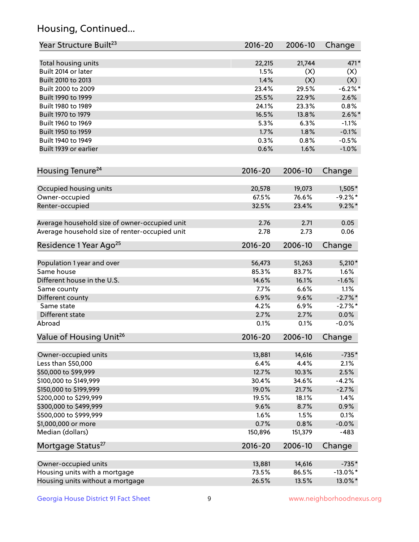## Housing, Continued...

| Year Structure Built <sup>23</sup>             | 2016-20     | 2006-10 | Change      |
|------------------------------------------------|-------------|---------|-------------|
| Total housing units                            | 22,215      | 21,744  | 471*        |
| Built 2014 or later                            | 1.5%        | (X)     | (X)         |
| Built 2010 to 2013                             | 1.4%        | (X)     | (X)         |
| Built 2000 to 2009                             | 23.4%       | 29.5%   | $-6.2\%$ *  |
| Built 1990 to 1999                             | 25.5%       | 22.9%   | 2.6%        |
| Built 1980 to 1989                             | 24.1%       | 23.3%   | 0.8%        |
| Built 1970 to 1979                             | 16.5%       | 13.8%   | $2.6\%$ *   |
| Built 1960 to 1969                             | 5.3%        | 6.3%    | $-1.1%$     |
| Built 1950 to 1959                             | 1.7%        | 1.8%    | $-0.1%$     |
| Built 1940 to 1949                             | 0.3%        | 0.8%    | $-0.5%$     |
| Built 1939 or earlier                          | 0.6%        | 1.6%    | $-1.0%$     |
|                                                |             |         |             |
| Housing Tenure <sup>24</sup>                   | $2016 - 20$ | 2006-10 | Change      |
| Occupied housing units                         | 20,578      | 19,073  | $1,505*$    |
| Owner-occupied                                 | 67.5%       | 76.6%   | $-9.2%$ *   |
| Renter-occupied                                | 32.5%       | 23.4%   | $9.2\%$ *   |
|                                                |             |         |             |
| Average household size of owner-occupied unit  | 2.76        | 2.71    | 0.05        |
| Average household size of renter-occupied unit | 2.78        | 2.73    | 0.06        |
| Residence 1 Year Ago <sup>25</sup>             | $2016 - 20$ | 2006-10 | Change      |
| Population 1 year and over                     | 56,473      | 51,263  | $5,210*$    |
| Same house                                     | 85.3%       | 83.7%   | 1.6%        |
| Different house in the U.S.                    | 14.6%       | 16.1%   | $-1.6%$     |
| Same county                                    | 7.7%        | 6.6%    | 1.1%        |
| Different county                               | 6.9%        | 9.6%    | $-2.7\%$ *  |
| Same state                                     | 4.2%        | 6.9%    | $-2.7%$ *   |
| Different state                                | 2.7%        | 2.7%    | 0.0%        |
| Abroad                                         | 0.1%        | 0.1%    | $-0.0%$     |
| Value of Housing Unit <sup>26</sup>            | $2016 - 20$ | 2006-10 | Change      |
|                                                |             |         |             |
| Owner-occupied units                           | 13,881      | 14,616  | $-735*$     |
| Less than \$50,000                             | 6.4%        | 4.4%    | 2.1%        |
| \$50,000 to \$99,999                           | 12.7%       | 10.3%   | 2.5%        |
| \$100,000 to \$149,999                         | 30.4%       | 34.6%   | $-4.2%$     |
| \$150,000 to \$199,999                         | 19.0%       | 21.7%   | $-2.7%$     |
| \$200,000 to \$299,999                         | 19.5%       | 18.1%   | 1.4%        |
| \$300,000 to \$499,999                         | 9.6%        | 8.7%    | 0.9%        |
| \$500,000 to \$999,999                         | 1.6%        | 1.5%    | 0.1%        |
| \$1,000,000 or more                            | 0.7%        | 0.8%    | $-0.0%$     |
| Median (dollars)                               | 150,896     | 151,379 | $-483$      |
| Mortgage Status <sup>27</sup>                  | $2016 - 20$ | 2006-10 | Change      |
| Owner-occupied units                           | 13,881      | 14,616  | $-735*$     |
| Housing units with a mortgage                  | 73.5%       | 86.5%   | $-13.0\%$ * |
| Housing units without a mortgage               |             |         | 13.0%*      |
|                                                | 26.5%       | 13.5%   |             |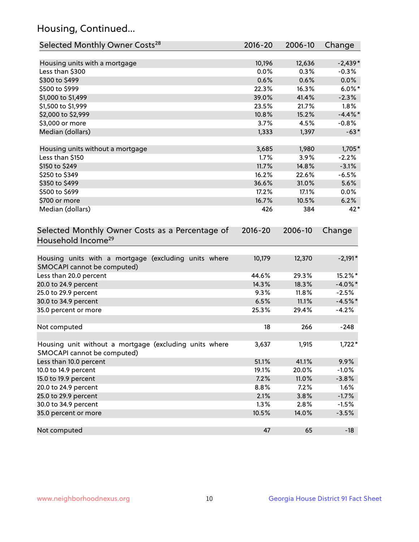## Housing, Continued...

| Selected Monthly Owner Costs <sup>28</sup>                                            | 2016-20     | 2006-10 | Change     |
|---------------------------------------------------------------------------------------|-------------|---------|------------|
| Housing units with a mortgage                                                         | 10,196      | 12,636  | $-2,439*$  |
| Less than \$300                                                                       | 0.0%        | 0.3%    | $-0.3%$    |
| \$300 to \$499                                                                        | 0.6%        | 0.6%    | 0.0%       |
| \$500 to \$999                                                                        | 22.3%       | 16.3%   | $6.0\%$ *  |
| \$1,000 to \$1,499                                                                    | 39.0%       | 41.4%   | $-2.3%$    |
| \$1,500 to \$1,999                                                                    | 23.5%       | 21.7%   | 1.8%       |
| \$2,000 to \$2,999                                                                    | 10.8%       | 15.2%   | $-4.4\%$ * |
| \$3,000 or more                                                                       | 3.7%        | 4.5%    | $-0.8%$    |
| Median (dollars)                                                                      | 1,333       | 1,397   | $-63*$     |
| Housing units without a mortgage                                                      | 3,685       | 1,980   | 1,705*     |
| Less than \$150                                                                       | 1.7%        | 3.9%    | $-2.2%$    |
| \$150 to \$249                                                                        | 11.7%       | 14.8%   | $-3.1%$    |
| \$250 to \$349                                                                        | 16.2%       | 22.6%   | $-6.5%$    |
| \$350 to \$499                                                                        | 36.6%       | 31.0%   | 5.6%       |
| \$500 to \$699                                                                        | 17.2%       | 17.1%   | $0.0\%$    |
| \$700 or more                                                                         | 16.7%       | 10.5%   | 6.2%       |
| Median (dollars)                                                                      | 426         | 384     | 42*        |
| Selected Monthly Owner Costs as a Percentage of<br>Household Income <sup>29</sup>     | $2016 - 20$ | 2006-10 | Change     |
| Housing units with a mortgage (excluding units where<br>SMOCAPI cannot be computed)   | 10,179      | 12,370  | $-2,191*$  |
| Less than 20.0 percent                                                                | 44.6%       | 29.3%   | 15.2%*     |
| 20.0 to 24.9 percent                                                                  | 14.3%       | 18.3%   | $-4.0\%$ * |
| 25.0 to 29.9 percent                                                                  | 9.3%        | 11.8%   | $-2.5%$    |
| 30.0 to 34.9 percent                                                                  | 6.5%        | 11.1%   | $-4.5%$ *  |
| 35.0 percent or more                                                                  | 25.3%       | 29.4%   | $-4.2%$    |
| Not computed                                                                          | 18          | 266     | $-248$     |
| Housing unit without a mortgage (excluding units where<br>SMOCAPI cannot be computed) | 3,637       | 1,915   | $1,722*$   |
| Less than 10.0 percent                                                                | 51.1%       | 41.1%   | 9.9%       |
| 10.0 to 14.9 percent                                                                  | 19.1%       | 20.0%   | $-1.0%$    |
| 15.0 to 19.9 percent                                                                  | 7.2%        | 11.0%   | $-3.8%$    |
| 20.0 to 24.9 percent                                                                  | 8.8%        | 7.2%    | 1.6%       |
| 25.0 to 29.9 percent                                                                  | 2.1%        | 3.8%    | $-1.7%$    |
| 30.0 to 34.9 percent                                                                  | 1.3%        | 2.8%    | $-1.5%$    |
| 35.0 percent or more                                                                  | 10.5%       | 14.0%   | $-3.5%$    |
| Not computed                                                                          | 47          | 65      | $-18$      |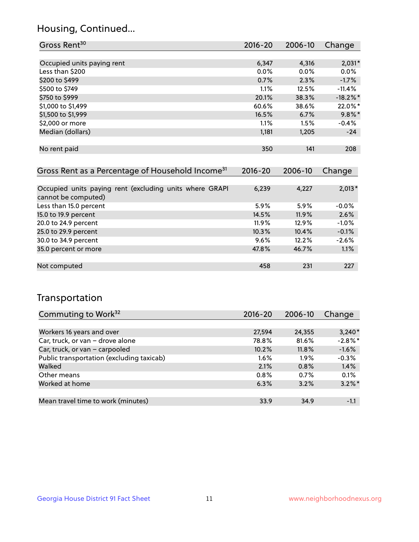## Housing, Continued...

| Gross Rent <sup>30</sup>                                                       | 2016-20     | 2006-10 | Change      |
|--------------------------------------------------------------------------------|-------------|---------|-------------|
|                                                                                |             |         |             |
| Occupied units paying rent                                                     | 6,347       | 4,316   | $2,031*$    |
| Less than \$200                                                                | $0.0\%$     | $0.0\%$ | $0.0\%$     |
| \$200 to \$499                                                                 | 0.7%        | 2.3%    | $-1.7%$     |
| \$500 to \$749                                                                 | $1.1\%$     | 12.5%   | $-11.4\%$   |
| \$750 to \$999                                                                 | 20.1%       | 38.3%   | $-18.2\%$ * |
| \$1,000 to \$1,499                                                             | 60.6%       | 38.6%   | 22.0%*      |
| \$1,500 to \$1,999                                                             | 16.5%       | 6.7%    | $9.8\%$ *   |
| \$2,000 or more                                                                | $1.1\%$     | $1.5\%$ | $-0.4%$     |
| Median (dollars)                                                               | 1,181       | 1,205   | $-24$       |
|                                                                                |             |         |             |
| No rent paid                                                                   | 350         | 141     | 208         |
|                                                                                |             |         |             |
| Gross Rent as a Percentage of Household Income <sup>31</sup>                   | $2016 - 20$ | 2006-10 | Change      |
|                                                                                |             |         |             |
| Occupied units paying rent (excluding units where GRAPI<br>cannot be computed) | 6,239       | 4,227   | $2,013*$    |

| cannot be computed)    |          |         |         |
|------------------------|----------|---------|---------|
| Less than 15.0 percent | $5.9\%$  | $5.9\%$ | $-0.0%$ |
| 15.0 to 19.9 percent   | 14.5%    | 11.9%   | 2.6%    |
| 20.0 to 24.9 percent   | $11.9\%$ | 12.9%   | $-1.0%$ |
| 25.0 to 29.9 percent   | 10.3%    | 10.4%   | $-0.1%$ |
| 30.0 to 34.9 percent   | $9.6\%$  | 12.2%   | $-2.6%$ |
| 35.0 percent or more   | 47.8%    | 46.7%   | 1.1%    |
|                        |          |         |         |
| Not computed           | 458      | 231     | 227     |
|                        |          |         |         |

## Transportation

| Commuting to Work <sup>32</sup>           | 2016-20 | 2006-10 | Change     |
|-------------------------------------------|---------|---------|------------|
|                                           |         |         |            |
| Workers 16 years and over                 | 27,594  | 24,355  | $3,240*$   |
| Car, truck, or van - drove alone          | 78.8%   | 81.6%   | $-2.8\%$ * |
| Car, truck, or van - carpooled            | 10.2%   | 11.8%   | $-1.6%$    |
| Public transportation (excluding taxicab) | $1.6\%$ | $1.9\%$ | $-0.3%$    |
| Walked                                    | 2.1%    | 0.8%    | 1.4%       |
| Other means                               | 0.8%    | 0.7%    | 0.1%       |
| Worked at home                            | 6.3%    | 3.2%    | $3.2\%$ *  |
|                                           |         |         |            |
| Mean travel time to work (minutes)        | 33.9    | 34.9    | $-1.1$     |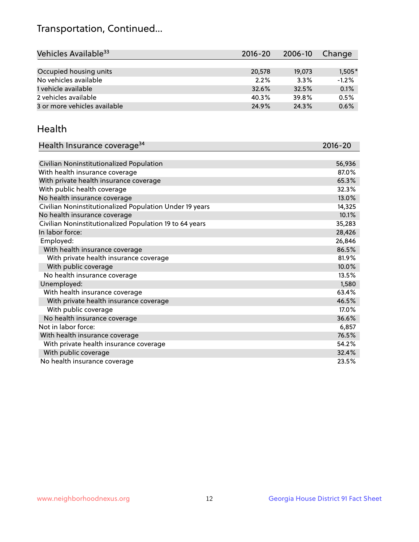## Transportation, Continued...

| Vehicles Available <sup>33</sup> | 2016-20 | 2006-10 | Change   |
|----------------------------------|---------|---------|----------|
|                                  |         |         |          |
| Occupied housing units           | 20,578  | 19,073  | $1,505*$ |
| No vehicles available            | 2.2%    | 3.3%    | $-1.2%$  |
| 1 vehicle available              | 32.6%   | 32.5%   | 0.1%     |
| 2 vehicles available             | 40.3%   | 39.8%   | 0.5%     |
| 3 or more vehicles available     | 24.9%   | 24.3%   | 0.6%     |

#### Health

| Health Insurance coverage <sup>34</sup>                 | 2016-20 |
|---------------------------------------------------------|---------|
|                                                         |         |
| Civilian Noninstitutionalized Population                | 56,936  |
| With health insurance coverage                          | 87.0%   |
| With private health insurance coverage                  | 65.3%   |
| With public health coverage                             | 32.3%   |
| No health insurance coverage                            | 13.0%   |
| Civilian Noninstitutionalized Population Under 19 years | 14,325  |
| No health insurance coverage                            | 10.1%   |
| Civilian Noninstitutionalized Population 19 to 64 years | 35,283  |
| In labor force:                                         | 28,426  |
| Employed:                                               | 26,846  |
| With health insurance coverage                          | 86.5%   |
| With private health insurance coverage                  | 81.9%   |
| With public coverage                                    | 10.0%   |
| No health insurance coverage                            | 13.5%   |
| Unemployed:                                             | 1,580   |
| With health insurance coverage                          | 63.4%   |
| With private health insurance coverage                  | 46.5%   |
| With public coverage                                    | 17.0%   |
| No health insurance coverage                            | 36.6%   |
| Not in labor force:                                     | 6,857   |
| With health insurance coverage                          | 76.5%   |
| With private health insurance coverage                  | 54.2%   |
| With public coverage                                    | 32.4%   |
| No health insurance coverage                            | 23.5%   |